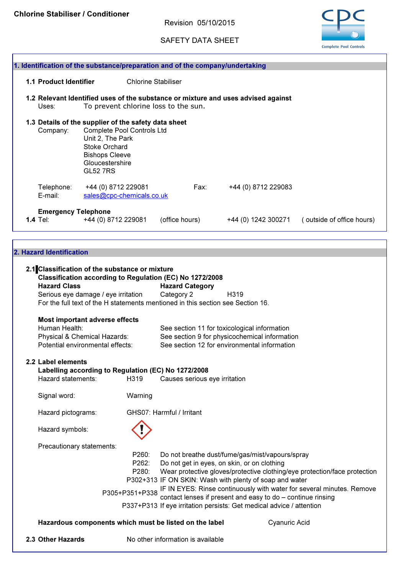Revision 05/10/2015

SAFETY DATA SHEET



| 1. Identification of the substance/preparation and of the company/undertaking |                                                      |                                                                                 |                            |                                               |                               |                                                                                   |                           |  |  |  |
|-------------------------------------------------------------------------------|------------------------------------------------------|---------------------------------------------------------------------------------|----------------------------|-----------------------------------------------|-------------------------------|-----------------------------------------------------------------------------------|---------------------------|--|--|--|
|                                                                               |                                                      |                                                                                 |                            |                                               |                               |                                                                                   |                           |  |  |  |
|                                                                               | <b>1.1 Product Identifier</b>                        |                                                                                 | <b>Chlorine Stabiliser</b> |                                               |                               |                                                                                   |                           |  |  |  |
|                                                                               |                                                      |                                                                                 |                            |                                               |                               | 1.2 Relevant Identified uses of the substance or mixture and uses advised against |                           |  |  |  |
|                                                                               | Uses:                                                | To prevent chlorine loss to the sun.                                            |                            |                                               |                               |                                                                                   |                           |  |  |  |
|                                                                               |                                                      |                                                                                 |                            |                                               |                               |                                                                                   |                           |  |  |  |
|                                                                               | 1.3 Details of the supplier of the safety data sheet |                                                                                 |                            |                                               |                               |                                                                                   |                           |  |  |  |
|                                                                               | Company:                                             | Complete Pool Controls Ltd                                                      |                            |                                               |                               |                                                                                   |                           |  |  |  |
|                                                                               |                                                      | Unit 2, The Park                                                                |                            |                                               |                               |                                                                                   |                           |  |  |  |
|                                                                               |                                                      | <b>Stoke Orchard</b>                                                            |                            |                                               |                               |                                                                                   |                           |  |  |  |
|                                                                               |                                                      | <b>Bishops Cleeve</b>                                                           |                            |                                               |                               |                                                                                   |                           |  |  |  |
|                                                                               |                                                      | Gloucestershire                                                                 |                            |                                               |                               |                                                                                   |                           |  |  |  |
|                                                                               |                                                      | <b>GL52 7RS</b>                                                                 |                            |                                               |                               |                                                                                   |                           |  |  |  |
|                                                                               | Telephone:                                           | +44 (0) 8712 229081                                                             |                            |                                               | Fax:                          | +44 (0) 8712 229083                                                               |                           |  |  |  |
|                                                                               | E-mail:                                              | sales@cpc-chemicals.co.uk                                                       |                            |                                               |                               |                                                                                   |                           |  |  |  |
|                                                                               |                                                      |                                                                                 |                            |                                               |                               |                                                                                   |                           |  |  |  |
|                                                                               | <b>Emergency Telephone</b>                           |                                                                                 |                            |                                               |                               |                                                                                   |                           |  |  |  |
|                                                                               | 1.4 Tel:                                             | +44 (0) 8712 229081                                                             |                            | (office hours)                                |                               | +44 (0) 1242 300271                                                               | (outside of office hours) |  |  |  |
|                                                                               |                                                      |                                                                                 |                            |                                               |                               |                                                                                   |                           |  |  |  |
|                                                                               |                                                      |                                                                                 |                            |                                               |                               |                                                                                   |                           |  |  |  |
|                                                                               | 2. Hazard Identification                             |                                                                                 |                            |                                               |                               |                                                                                   |                           |  |  |  |
|                                                                               |                                                      |                                                                                 |                            |                                               |                               |                                                                                   |                           |  |  |  |
|                                                                               |                                                      | 2.1 Classification of the substance or mixture                                  |                            |                                               |                               |                                                                                   |                           |  |  |  |
|                                                                               |                                                      | Classification according to Regulation (EC) No 1272/2008                        |                            |                                               |                               |                                                                                   |                           |  |  |  |
|                                                                               | <b>Hazard Class</b>                                  |                                                                                 |                            | <b>Hazard Category</b>                        |                               |                                                                                   |                           |  |  |  |
|                                                                               |                                                      | Serious eye damage / eye irritation                                             |                            | Category 2                                    |                               | H319                                                                              |                           |  |  |  |
|                                                                               |                                                      | For the full text of the H statements mentioned in this section see Section 16. |                            |                                               |                               |                                                                                   |                           |  |  |  |
|                                                                               |                                                      |                                                                                 |                            |                                               |                               |                                                                                   |                           |  |  |  |
|                                                                               |                                                      | <b>Most important adverse effects</b>                                           |                            |                                               |                               |                                                                                   |                           |  |  |  |
|                                                                               | Human Health:                                        |                                                                                 |                            |                                               |                               | See section 11 for toxicological information                                      |                           |  |  |  |
|                                                                               |                                                      | Physical & Chemical Hazards:                                                    |                            | See section 9 for physicochemical information |                               |                                                                                   |                           |  |  |  |
|                                                                               |                                                      | Potential environmental effects:                                                |                            | See section 12 for environmental information  |                               |                                                                                   |                           |  |  |  |
|                                                                               |                                                      |                                                                                 |                            |                                               |                               |                                                                                   |                           |  |  |  |
|                                                                               | 2.2 Label elements                                   |                                                                                 |                            |                                               |                               |                                                                                   |                           |  |  |  |
|                                                                               |                                                      | Labelling according to Regulation (EC) No 1272/2008                             |                            |                                               |                               |                                                                                   |                           |  |  |  |
|                                                                               | Hazard statements:                                   |                                                                                 | H319                       |                                               | Causes serious eye irritation |                                                                                   |                           |  |  |  |

Signal word: Warning

Hazard pictograms: GHS07: Harmful / Irritant Hazard symbols: Precautionary statements: P260: Do not breathe dust/fume/gas/mist/vapours/spray P262: Do not get in eyes, on skin, or on clothing

P280: Wear protective gloves/protective clothing/eye protection/face protection P302+313 IF ON SKIN: Wash with plenty of soap and water P305+P351+P338 IF IN EYES: Rinse continuously with water for several minutes. Remove

P337+P313 If eye irritation persists: Get medical advice / attention contact lenses if present and easy to do – continue rinsing

Hazardous components which must be listed on the label Cyanuric Acid

2.3 Other Hazards No other information is available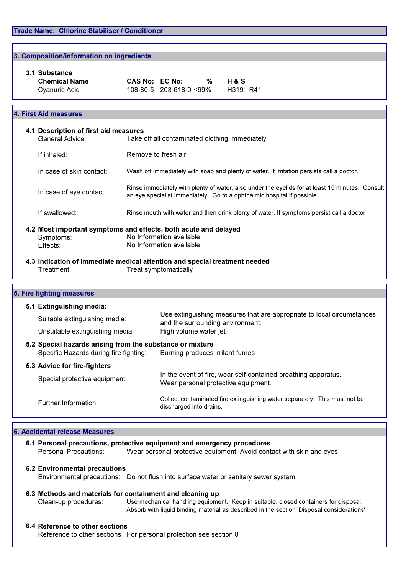|               | 3. Composition/information on ingredients                                                                                              |                                                                                                       |                                                                                                                                                                            |  |                                                                                                       |  |  |  |
|---------------|----------------------------------------------------------------------------------------------------------------------------------------|-------------------------------------------------------------------------------------------------------|----------------------------------------------------------------------------------------------------------------------------------------------------------------------------|--|-------------------------------------------------------------------------------------------------------|--|--|--|
| 3.1 Substance |                                                                                                                                        |                                                                                                       |                                                                                                                                                                            |  |                                                                                                       |  |  |  |
|               | <b>Chemical Name</b>                                                                                                                   |                                                                                                       | CAS No: EC No: %                                                                                                                                                           |  | <b>H&amp;S</b>                                                                                        |  |  |  |
|               | Cyanuric Acid                                                                                                                          |                                                                                                       | 108-80-5 203-618-0 <99%                                                                                                                                                    |  | H319: R41                                                                                             |  |  |  |
|               |                                                                                                                                        |                                                                                                       |                                                                                                                                                                            |  |                                                                                                       |  |  |  |
|               | 4. First Aid measures                                                                                                                  |                                                                                                       |                                                                                                                                                                            |  |                                                                                                       |  |  |  |
|               | 4.1 Description of first aid measures                                                                                                  |                                                                                                       |                                                                                                                                                                            |  |                                                                                                       |  |  |  |
|               | General Advice:                                                                                                                        |                                                                                                       | Take off all contaminated clothing immediately                                                                                                                             |  |                                                                                                       |  |  |  |
|               | If inhaled:                                                                                                                            |                                                                                                       | Remove to fresh air                                                                                                                                                        |  |                                                                                                       |  |  |  |
|               | In case of skin contact:                                                                                                               | Wash off immediately with soap and plenty of water. If irritation persists call a doctor.             |                                                                                                                                                                            |  |                                                                                                       |  |  |  |
|               | In case of eye contact:                                                                                                                |                                                                                                       | Rinse immediately with plenty of water, also under the eyelids for at least 15 minutes. Consult<br>an eye specialist immediately. Go to a ophthalmic hospital if possible. |  |                                                                                                       |  |  |  |
|               | If swallowed:                                                                                                                          |                                                                                                       |                                                                                                                                                                            |  | Rinse mouth with water and then drink plenty of water. If symptoms persist call a doctor              |  |  |  |
|               | 4.2 Most important symptoms and effects, both acute and delayed                                                                        |                                                                                                       |                                                                                                                                                                            |  |                                                                                                       |  |  |  |
|               | Symptoms:                                                                                                                              |                                                                                                       | No Information available                                                                                                                                                   |  |                                                                                                       |  |  |  |
|               | Effects:                                                                                                                               |                                                                                                       | No Information available                                                                                                                                                   |  |                                                                                                       |  |  |  |
|               | 4.3 Indication of immediate medical attention and special treatment needed                                                             |                                                                                                       |                                                                                                                                                                            |  |                                                                                                       |  |  |  |
|               | Treatment                                                                                                                              |                                                                                                       | Treat symptomatically                                                                                                                                                      |  |                                                                                                       |  |  |  |
|               |                                                                                                                                        |                                                                                                       |                                                                                                                                                                            |  |                                                                                                       |  |  |  |
|               | 5. Fire fighting measures                                                                                                              |                                                                                                       |                                                                                                                                                                            |  |                                                                                                       |  |  |  |
|               | 5.1 Extinguishing media:                                                                                                               |                                                                                                       |                                                                                                                                                                            |  |                                                                                                       |  |  |  |
|               | Suitable extinguishing media:                                                                                                          |                                                                                                       | Use extinguishing measures that are appropriate to local circumstances<br>and the surrounding environment.<br>High volume water jet                                        |  |                                                                                                       |  |  |  |
|               | Unsuitable extinguishing media:                                                                                                        |                                                                                                       |                                                                                                                                                                            |  |                                                                                                       |  |  |  |
|               | 5.2 Special hazards arising from the substance or mixture<br>Specific Hazards during fire fighting:<br>Burning produces irritant fumes |                                                                                                       |                                                                                                                                                                            |  |                                                                                                       |  |  |  |
|               | 5.3 Advice for fire-fighters                                                                                                           |                                                                                                       |                                                                                                                                                                            |  |                                                                                                       |  |  |  |
|               | Special protective equipment:                                                                                                          |                                                                                                       |                                                                                                                                                                            |  | In the event of fire, wear self-contained breathing apparatus.<br>Wear personal protective equipment. |  |  |  |
|               | Further Information:                                                                                                                   | Collect contaminated fire extinguishing water separately. This must not be<br>discharged into drains. |                                                                                                                                                                            |  |                                                                                                       |  |  |  |

### 6. Accidental release Measures

| 6.1 Personal precautions, protective equipment and emergency procedures |                                                                      |  |  |  |  |
|-------------------------------------------------------------------------|----------------------------------------------------------------------|--|--|--|--|
| Personal Precautions:                                                   | Wear personal protective equipment. Avoid contact with skin and eves |  |  |  |  |
|                                                                         |                                                                      |  |  |  |  |

## 6.2 Environmental precautions

Environmental precautions: Do not flush into surface water or sanitary sewer system

#### 6.3 Methods and materials for containment and cleaning up Clean-up procedures: Use mechanical handling equipment. Keep in suitable, closed containers for disposal.

Absorb with liquid binding material as described in the section 'Disposal considerations'

## 6.4 Reference to other sections

Reference to other sections For personal protection see section 8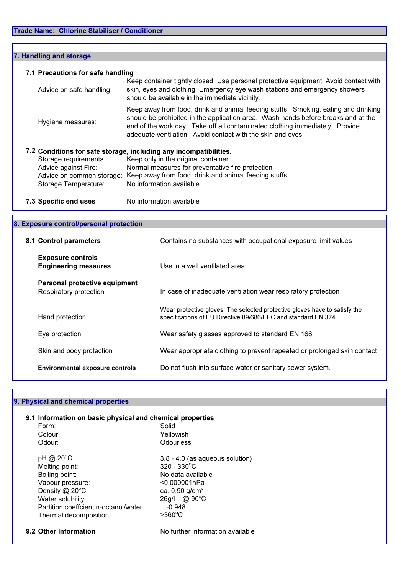$\overline{\Gamma}$ 

| 7. Handling and storage           |                                                                                                                                                                                                                                                                                                                        |
|-----------------------------------|------------------------------------------------------------------------------------------------------------------------------------------------------------------------------------------------------------------------------------------------------------------------------------------------------------------------|
| 7.1 Precautions for safe handling | Keep container tightly closed. Use personal protective equipment. Avoid contact with                                                                                                                                                                                                                                   |
| Advice on safe handling:          | skin, eyes and clothing. Emergency eye wash stations and emergency showers<br>should be available in the immediate vicinity.                                                                                                                                                                                           |
| Hygiene measures:                 | Keep away from food, drink and animal feeding stuffs. Smoking, eating and drinking<br>should be prohibited in the application area. Wash hands before breaks and at the<br>end of the work day. Take off all contaminated clothing immediately. Provide<br>adequate ventilation. Avoid contact with the skin and eyes. |
|                                   | 7.2 Conditions for safe storage, including any incompatibilities.                                                                                                                                                                                                                                                      |
| Storage requirements              | Keep only in the original container                                                                                                                                                                                                                                                                                    |
| Advice against Fire:              | Normal measures for preventative fire protection                                                                                                                                                                                                                                                                       |
| Advice on common storage:         | Keep away from food, drink and animal feeding stuffs.                                                                                                                                                                                                                                                                  |
| Storage Temperature:              | No information available                                                                                                                                                                                                                                                                                               |
| 7.3 Specific end uses             | No information available                                                                                                                                                                                                                                                                                               |

| 8. Exposure control/personal protection                 |                                                                                                                                              |  |  |  |  |  |
|---------------------------------------------------------|----------------------------------------------------------------------------------------------------------------------------------------------|--|--|--|--|--|
| 8.1 Control parameters                                  | Contains no substances with occupational exposure limit values                                                                               |  |  |  |  |  |
| <b>Exposure controls</b><br><b>Engineering measures</b> | Use in a well ventilated area                                                                                                                |  |  |  |  |  |
| Personal protective equipment<br>Respiratory protection | In case of inadequate ventilation wear respiratory protection                                                                                |  |  |  |  |  |
| Hand protection                                         | Wear protective gloves. The selected protective gloves have to satisfy the<br>specifications of EU Directive 89/686/EEC and standard EN 374. |  |  |  |  |  |
| Eye protection                                          | Wear safety glasses approved to standard EN 166.                                                                                             |  |  |  |  |  |
| Skin and body protection                                | Wear appropriate clothing to prevent repeated or prolonged skin contact                                                                      |  |  |  |  |  |
| <b>Environmental exposure controls</b>                  | Do not flush into surface water or sanitary sewer system.                                                                                    |  |  |  |  |  |

## 9. Physical and chemical properties

| Form:                                  | Solid                             |
|----------------------------------------|-----------------------------------|
| Colour:                                | Yellowish                         |
| Odour:                                 | Odourless                         |
| pH @ $20^{\circ}$ C:                   | $3.8 - 4.0$ (as aqueous solution) |
| Melting point:                         | $320 - 330^{\circ}$ C             |
| Boiling point:                         | No data available                 |
| Vapour pressure:                       | $< 0.000001$ hPa                  |
| Density $@$ 20 $°C$ :                  | ca. 0.90 g/cm <sup>3</sup>        |
| Water solubility:                      | 26g/l @ 90°C                      |
| Partition coeffcient: n-octanol/water: | $-0.948$                          |
| Thermal decomposition:                 | $>360^{\circ}$ C                  |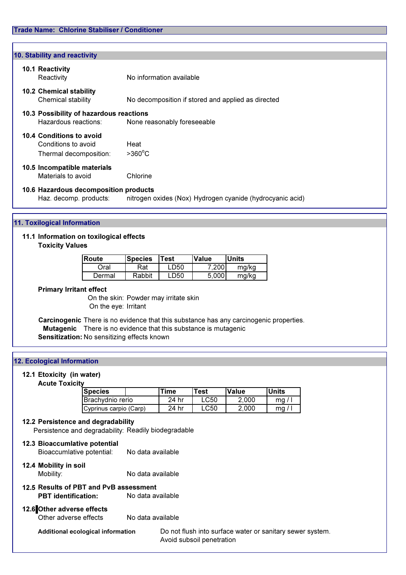| 10. Stability and reactivity |                                                                           |                                                           |  |  |  |  |  |
|------------------------------|---------------------------------------------------------------------------|-----------------------------------------------------------|--|--|--|--|--|
|                              | <b>10.1 Reactivity</b><br>Reactivity                                      | No information available                                  |  |  |  |  |  |
|                              | <b>10.2 Chemical stability</b><br>Chemical stability                      | No decomposition if stored and applied as directed        |  |  |  |  |  |
|                              | 10.3 Possibility of hazardous reactions<br>Hazardous reactions:           | None reasonably foreseeable                               |  |  |  |  |  |
|                              | 10.4 Conditions to avoid<br>Conditions to avoid<br>Thermal decomposition: | Heat<br>$>360^{\circ}$ C                                  |  |  |  |  |  |
|                              | 10.5 Incompatible materials<br>Materials to avoid                         | Chlorine                                                  |  |  |  |  |  |
|                              | 10.6 Hazardous decomposition products<br>Haz. decomp. products:           | nitrogen oxides (Nox) Hydrogen cyanide (hydrocyanic acid) |  |  |  |  |  |

## 11. Toxilogical Information

# 11.1 Information on toxilogical effects

Toxicity Values

| Route  | <b>Test</b><br><b>Species</b> |      | Value | Units |
|--------|-------------------------------|------|-------|-------|
| Oral   | Rat                           | LD50 | 7.200 | mg/kg |
| Dermal | Rabbit                        | LD50 | 5.000 | mg/kg |

## Primary Irritant effect

On the skin: Powder may irritate skin On the eye: Irritant

Carcinogenic There is no evidence that this substance has any carcinogenic properties. **Mutagenic** There is no evidence that this substance is mutagenic Sensitization: No sensitizing effects known

## 12. Ecological Information

## 12.1 Etoxicity (in water)

#### Acute Toxicity

| <b>Species</b>           |  | Time  | <b>Test</b> | <b>Value</b> | <b>Units</b> |
|--------------------------|--|-------|-------------|--------------|--------------|
| <b>IBrachydnio rerio</b> |  | 24 hr | LC50        | 2.000        | mq.          |
| Cyprinus carpio (Carp)   |  | 24 hr | LC50        | 2.000        | mq           |

### 12.2 Persistence and degradability

Persistence and degradability: Readily biodegradable

| 12.3 Bioaccumlative potential<br>Bioaccumlative potential: | No data available                                                                         |                                                                                        |  |  |  |  |
|------------------------------------------------------------|-------------------------------------------------------------------------------------------|----------------------------------------------------------------------------------------|--|--|--|--|
| 12.4 Mobility in soil<br>Mobility:                         | No data available                                                                         |                                                                                        |  |  |  |  |
|                                                            | 12.5 Results of PBT and PvB assessment<br>No data available<br><b>PBT</b> identification: |                                                                                        |  |  |  |  |
| 12.6 Other adverse effects<br>Other adverse effects        | No data available                                                                         |                                                                                        |  |  |  |  |
| Additional ecological information                          |                                                                                           | Do not flush into surface water or sanitary sewer system.<br>Avoid subsoil penetration |  |  |  |  |